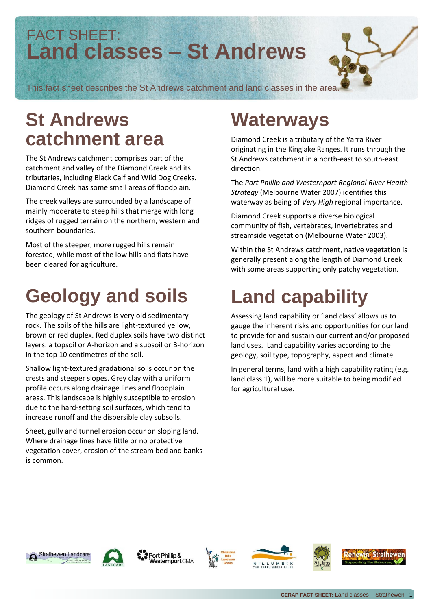#### FACT SHEET: **Land classes – St Andrews**

This fact sheet describes the St Andrews catchment and land classes in the area.

## **St Andrews catchment area**

The St Andrews catchment comprises part of the catchment and valley of the Diamond Creek and its tributaries, including Black Calf and Wild Dog Creeks. Diamond Creek has some small areas of floodplain.

The creek valleys are surrounded by a landscape of mainly moderate to steep hills that merge with long ridges of rugged terrain on the northern, western and southern boundaries.

Most of the steeper, more rugged hills remain forested, while most of the low hills and flats have been cleared for agriculture.

## **Geology and soils**

The geology of St Andrews is very old sedimentary rock. The soils of the hills are light-textured yellow, brown or red duplex. Red duplex soils have two distinct layers: a topsoil or A-horizon and a subsoil or B-horizon in the top 10 centimetres of the soil.

Shallow light-textured gradational soils occur on the crests and steeper slopes. Grey clay with a uniform profile occurs along drainage lines and floodplain areas. This landscape is highly susceptible to erosion due to the hard-setting soil surfaces, which tend to increase runoff and the dispersible clay subsoils.

Sheet, gully and tunnel erosion occur on sloping land. Where drainage lines have little or no protective vegetation cover, erosion of the stream bed and banks is common.

## **Waterways**

Diamond Creek is a tributary of the Yarra River originating in the Kinglake Ranges. It runs through the St Andrews catchment in a north-east to south-east direction.

The *Port Phillip and Westernport Regional River Health Strategy* (Melbourne Water 2007) identifies this waterway as being of *Very High* regional importance.

Diamond Creek supports a diverse biological community of fish, vertebrates, invertebrates and streamside vegetation (Melbourne Water 2003).

Within the St Andrews catchment, native vegetation is generally present along the length of Diamond Creek with some areas supporting only patchy vegetation.

## **Land capability**

Assessing land capability or 'land class' allows us to gauge the inherent risks and opportunities for our land to provide for and sustain our current and/or proposed land uses. Land capability varies according to the geology, soil type, topography, aspect and climate.

In general terms, land with a high capability rating (e.g. land class 1), will be more suitable to being modified for agricultural use.





Port Phillip & **lesternport CMA** 







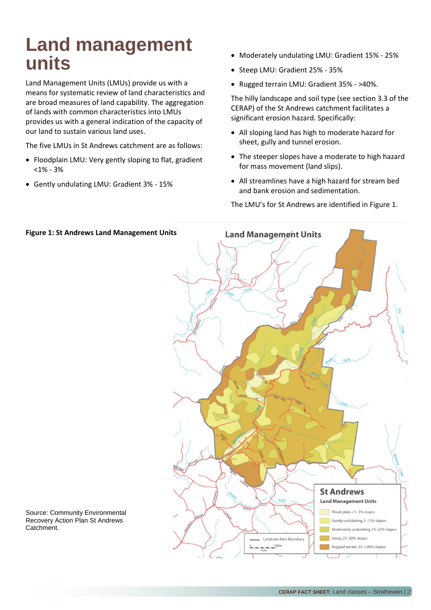### **Land management units**

Land Management Units (LMUs) provide us with a means for systematic review of land characteristics and are broad measures of land capability. The aggregation of lands with common characteristics into LMUs provides us with a general indication of the capacity of our land to sustain various land uses.

The five LMUs in St Andrews catchment are as follows:

- Floodplain LMU: Very gently sloping to flat, gradient <1% - 3%
- Gently undulating LMU: Gradient 3% 15%
- Moderately undulating LMU: Gradient 15% 25%
- Steep LMU: Gradient 25% 35%
- Rugged terrain LMU: Gradient 35% >40%.

The hilly landscape and soil type (see section 3.3 of the CERAP) of the St Andrews catchment facilitates a significant erosion hazard. Specifically:

- All sloping land has high to moderate hazard for sheet, gully and tunnel erosion.
- The steeper slopes have a moderate to high hazard for mass movement (land slips).
- All streamlines have a high hazard for stream bed and bank erosion and sedimentation.

The LMU's for St Andrews are identified in Figure 1.



Source: Community Environmental Recovery Action Plan St Andrews Catchment.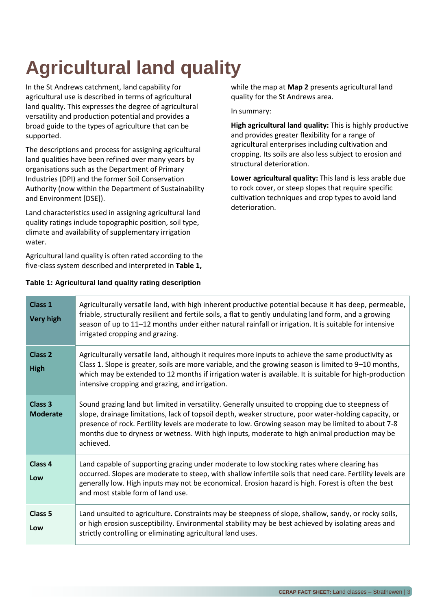# **Agricultural land quality**

In the St Andrews catchment, land capability for agricultural use is described in terms of agricultural land quality. This expresses the degree of agricultural versatility and production potential and provides a broad guide to the types of agriculture that can be supported.

The descriptions and process for assigning agricultural land qualities have been refined over many years by organisations such as the Department of Primary Industries (DPI) and the former Soil Conservation Authority (now within the Department of Sustainability and Environment [DSE]).

Land characteristics used in assigning agricultural land quality ratings include topographic position, soil type, climate and availability of supplementary irrigation water.

Agricultural land quality is often rated according to the five-class system described and interpreted in **Table 1,** 

#### **Table 1: Agricultural land quality rating description**

while the map at **Map 2** presents agricultural land quality for the St Andrews area.

In summary:

**High agricultural land quality:** This is highly productive and provides greater flexibility for a range of agricultural enterprises including cultivation and cropping. Its soils are also less subject to erosion and structural deterioration.

**Lower agricultural quality:** This land is less arable due to rock cover, or steep slopes that require specific cultivation techniques and crop types to avoid land deterioration.

| <b>Class 1</b><br><b>Very high</b>    | Agriculturally versatile land, with high inherent productive potential because it has deep, permeable,<br>friable, structurally resilient and fertile soils, a flat to gently undulating land form, and a growing<br>season of up to 11-12 months under either natural rainfall or irrigation. It is suitable for intensive<br>irrigated cropping and grazing.                                                                 |
|---------------------------------------|--------------------------------------------------------------------------------------------------------------------------------------------------------------------------------------------------------------------------------------------------------------------------------------------------------------------------------------------------------------------------------------------------------------------------------|
| <b>Class 2</b><br><b>High</b>         | Agriculturally versatile land, although it requires more inputs to achieve the same productivity as<br>Class 1. Slope is greater, soils are more variable, and the growing season is limited to 9-10 months,<br>which may be extended to 12 months if irrigation water is available. It is suitable for high-production<br>intensive cropping and grazing, and irrigation.                                                     |
| Class <sub>3</sub><br><b>Moderate</b> | Sound grazing land but limited in versatility. Generally unsuited to cropping due to steepness of<br>slope, drainage limitations, lack of topsoil depth, weaker structure, poor water-holding capacity, or<br>presence of rock. Fertility levels are moderate to low. Growing season may be limited to about 7-8<br>months due to dryness or wetness. With high inputs, moderate to high animal production may be<br>achieved. |
| Class <sub>4</sub><br>Low             | Land capable of supporting grazing under moderate to low stocking rates where clearing has<br>occurred. Slopes are moderate to steep, with shallow infertile soils that need care. Fertility levels are<br>generally low. High inputs may not be economical. Erosion hazard is high. Forest is often the best<br>and most stable form of land use.                                                                             |
| <b>Class 5</b><br>Low                 | Land unsuited to agriculture. Constraints may be steepness of slope, shallow, sandy, or rocky soils,<br>or high erosion susceptibility. Environmental stability may be best achieved by isolating areas and<br>strictly controlling or eliminating agricultural land uses.                                                                                                                                                     |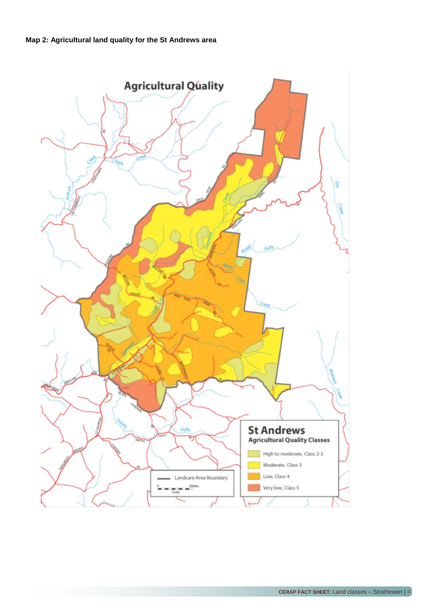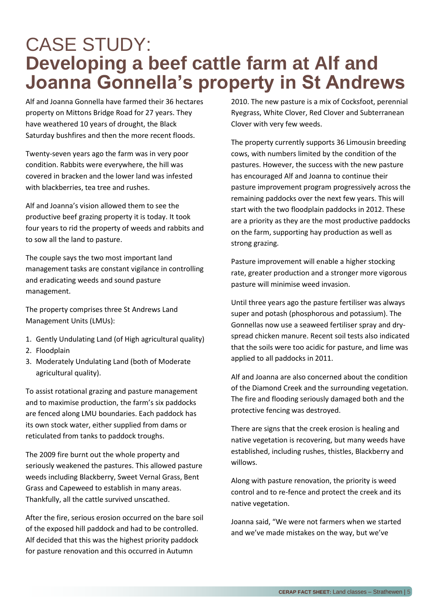#### CASE STUDY: **Developing a beef cattle farm at Alf and Joanna Gonnella's property in St Andrews**

Alf and Joanna Gonnella have farmed their 36 hectares property on Mittons Bridge Road for 27 years. They have weathered 10 years of drought, the Black Saturday bushfires and then the more recent floods.

Twenty-seven years ago the farm was in very poor condition. Rabbits were everywhere, the hill was covered in bracken and the lower land was infested with blackberries, tea tree and rushes.

Alf and Joanna's vision allowed them to see the productive beef grazing property it is today. It took four years to rid the property of weeds and rabbits and to sow all the land to pasture.

The couple says the two most important land management tasks are constant vigilance in controlling and eradicating weeds and sound pasture management.

The property comprises three St Andrews Land Management Units (LMUs):

- 1. Gently Undulating Land (of High agricultural quality)
- 2. Floodplain
- 3. Moderately Undulating Land (both of Moderate agricultural quality).

To assist rotational grazing and pasture management and to maximise production, the farm's six paddocks are fenced along LMU boundaries. Each paddock has its own stock water, either supplied from dams or reticulated from tanks to paddock troughs.

The 2009 fire burnt out the whole property and seriously weakened the pastures. This allowed pasture weeds including Blackberry, Sweet Vernal Grass, Bent Grass and Capeweed to establish in many areas. Thankfully, all the cattle survived unscathed.

After the fire, serious erosion occurred on the bare soil of the exposed hill paddock and had to be controlled. Alf decided that this was the highest priority paddock for pasture renovation and this occurred in Autumn

2010. The new pasture is a mix of Cocksfoot, perennial Ryegrass, White Clover, Red Clover and Subterranean Clover with very few weeds.

The property currently supports 36 Limousin breeding cows, with numbers limited by the condition of the pastures. However, the success with the new pasture has encouraged Alf and Joanna to continue their pasture improvement program progressively across the remaining paddocks over the next few years. This will start with the two floodplain paddocks in 2012. These are a priority as they are the most productive paddocks on the farm, supporting hay production as well as strong grazing.

Pasture improvement will enable a higher stocking rate, greater production and a stronger more vigorous pasture will minimise weed invasion.

Until three years ago the pasture fertiliser was always super and potash (phosphorous and potassium). The Gonnellas now use a seaweed fertiliser spray and dryspread chicken manure. Recent soil tests also indicated that the soils were too acidic for pasture, and lime was applied to all paddocks in 2011.

Alf and Joanna are also concerned about the condition of the Diamond Creek and the surrounding vegetation. The fire and flooding seriously damaged both and the protective fencing was destroyed.

There are signs that the creek erosion is healing and native vegetation is recovering, but many weeds have established, including rushes, thistles, Blackberry and willows.

Along with pasture renovation, the priority is weed control and to re-fence and protect the creek and its native vegetation.

Joanna said, "We were not farmers when we started and we've made mistakes on the way, but we've